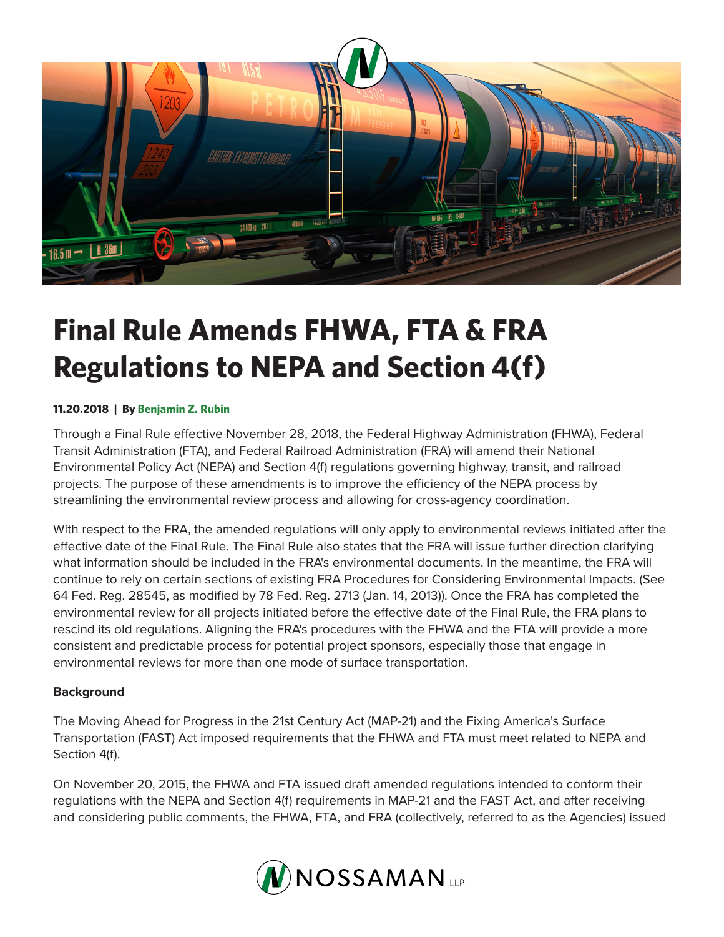

## **Final Rule Amends FHWA, FTA & FRA Regulations to NEPA and Section 4(f)**

## **11.20.2018 | By Benjamin Z. Rubin**

Through a Final Rule effective November 28, 2018, the Federal Highway Administration (FHWA), Federal Transit Administration (FTA), and Federal Railroad Administration (FRA) will amend their National Environmental Policy Act (NEPA) and Section 4(f) regulations governing highway, transit, and railroad projects. The purpose of these amendments is to improve the efficiency of the NEPA process by streamlining the environmental review process and allowing for cross-agency coordination.

With respect to the FRA, the amended regulations will only apply to environmental reviews initiated after the effective date of the Final Rule. The Final Rule also states that the FRA will issue further direction clarifying what information should be included in the FRA's environmental documents. In the meantime, the FRA will continue to rely on certain sections of existing FRA Procedures for Considering Environmental Impacts. (See 64 Fed. Reg. 28545, as modified by 78 Fed. Reg. 2713 (Jan. 14, 2013)). Once the FRA has completed the environmental review for all projects initiated before the effective date of the Final Rule, the FRA plans to rescind its old regulations. Aligning the FRA's procedures with the FHWA and the FTA will provide a more consistent and predictable process for potential project sponsors, especially those that engage in environmental reviews for more than one mode of surface transportation.

## **Background**

The Moving Ahead for Progress in the 21st Century Act (MAP-21) and the Fixing America's Surface Transportation (FAST) Act imposed requirements that the FHWA and FTA must meet related to NEPA and Section 4(f).

On November 20, 2015, the FHWA and FTA issued draft amended regulations intended to conform their regulations with the NEPA and Section 4(f) requirements in MAP-21 and the FAST Act, and after receiving and considering public comments, the FHWA, FTA, and FRA (collectively, referred to as the Agencies) issued